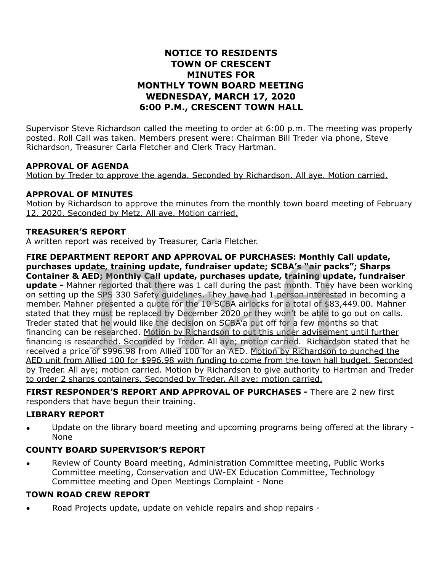# **NOTICE TO RESIDENTS TOWN OF CRESCENT MINUTES FOR MONTHLY TOWN BOARD MEETING WEDNESDAY, MARCH 17, 2020 6:00 P.M., CRESCENT TOWN HALL**

Supervisor Steve Richardson called the meeting to order at 6:00 p.m. The meeting was properly posted. Roll Call was taken. Members present were: Chairman Bill Treder via phone, Steve Richardson, Treasurer Carla Fletcher and Clerk Tracy Hartman.

### **APPROVAL OF AGENDA**

Motion by Treder to approve the agenda. Seconded by Richardson. All aye. Motion carried.

### **APPROVAL OF MINUTES**

Motion by Richardson to approve the minutes from the monthly town board meeting of February 12, 2020. Seconded by Metz. All aye. Motion carried.

### **TREASURER'S REPORT**

A written report was received by Treasurer, Carla Fletcher.

**FIRE DEPARTMENT REPORT AND APPROVAL OF PURCHASES: Monthly Call update, purchases update, training update, fundraiser update; SCBA's "air packs"; Sharps Container & AED; Monthly Call update, purchases update, training update, fundraiser update -** Mahner reported that there was 1 call during the past month. They have been working on setting up the SPS 330 Safety guidelines. They have had 1 person interested in becoming a member. Mahner presented a quote for the 10 SCBA airlocks for a total of \$83,449.00. Mahner stated that they must be replaced by December 2020 or they won't be able to go out on calls. Treder stated that he would like the decision on SCBA'a put off for a few months so that financing can be researched. Motion by Richardson to put this under advisement until further financing is researched. Seconded by Treder. All aye; motion carried. Richardson stated that he received a price of \$996.98 from Allied 100 for an AED. Motion by Richardson to punched the AED unit from Allied 100 for \$996.98 with funding to come from the town hall budget. Seconded by Treder. All aye; motion carried. Motion by Richardson to give authority to Hartman and Treder to order 2 sharps containers. Seconded by Treder. All aye; motion carried. MENT REPORT AND APPROVAL OF PURCHASES: Monthly C<br>date, training update, fundraiser update; SCBA's "air pack<br>ED; Monthly Call update, purchases update, training upda<br>er reported that there was 1 call during the past month.

**FIRST RESPONDER'S REPORT AND APPROVAL OF PURCHASES -** There are 2 new first responders that have begun their training.

### **LIBRARY REPORT**

• Update on the library board meeting and upcoming programs being offered at the library - None

## **COUNTY BOARD SUPERVISOR'S REPORT**

• Review of County Board meeting, Administration Committee meeting, Public Works Committee meeting, Conservation and UW-EX Education Committee, Technology Committee meeting and Open Meetings Complaint - None

## **TOWN ROAD CREW REPORT**

Road Projects update, update on vehicle repairs and shop repairs -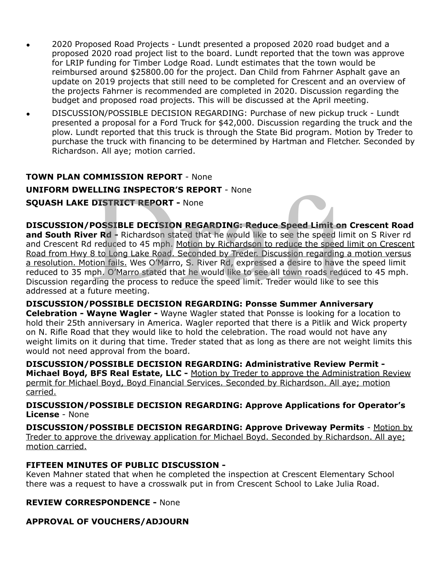- 2020 Proposed Road Projects Lundt presented a proposed 2020 road budget and a proposed 2020 road project list to the board. Lundt reported that the town was approve for LRIP funding for Timber Lodge Road. Lundt estimates that the town would be reimbursed around \$25800.00 for the project. Dan Child from Fahrner Asphalt gave an update on 2019 projects that still need to be completed for Crescent and an overview of the projects Fahrner is recommended are completed in 2020. Discussion regarding the budget and proposed road projects. This will be discussed at the April meeting.
- DISCUSSION/POSSIBLE DECISION REGARDING: Purchase of new pickup truck Lundt presented a proposal for a Ford Truck for \$42,000. Discussion regarding the truck and the plow. Lundt reported that this truck is through the State Bid program. Motion by Treder to purchase the truck with financing to be determined by Hartman and Fletcher. Seconded by Richardson. All aye; motion carried.

# **TOWN PLAN COMMISSION REPORT** - None

## **UNIFORM DWELLING INSPECTOR'S REPORT** - None

### **SQUASH LAKE DISTRICT REPORT -** None

### **DISCUSSION/POSSIBLE DECISION REGARDING: Reduce Speed Limit on Crescent Road**

**and South River Rd -** Richardson stated that he would like to see the speed limit on S River rd and Crescent Rd reduced to 45 mph. Motion by Richardson to reduce the speed limit on Crescent Road from Hwy 8 to Long Lake Road. Seconded by Treder. Discussion regarding a motion versus a resolution. Motion fails. Wes O'Marro, S. River Rd, expressed a desire to have the speed limit reduced to 35 mph. O'Marro stated that he would like to see all town roads reduced to 45 mph. Discussion regarding the process to reduce the speed limit. Treder would like to see this addressed at a future meeting. **ELLING INSPECTOR'S REPORT** - None<br> **DISTRICT REPORT -** None<br> **POSSIBLE DECISION REGARDING: Reduce Speed Limit on**<br> **POSSIBLE DECISION REGARDING: Reduce Speed Limit on**<br> **PRICE A** Richardson stated that he would like to se

**DISCUSSION/POSSIBLE DECISION REGARDING: Ponsse Summer Anniversary Celebration - Wayne Wagler -** Wayne Wagler stated that Ponsse is looking for a location to hold their 25th anniversary in America. Wagler reported that there is a Pitlik and Wick property on N. Rifle Road that they would like to hold the celebration. The road would not have any weight limits on it during that time. Treder stated that as long as there are not weight limits this would not need approval from the board.

**DISCUSSION/POSSIBLE DECISION REGARDING: Administrative Review Permit - Michael Boyd, BFS Real Estate, LLC -** Motion by Treder to approve the Administration Review permit for Michael Boyd, Boyd Financial Services. Seconded by Richardson. All aye; motion carried.

**DISCUSSION/POSSIBLE DECISION REGARDING: Approve Applications for Operator's License** - None

**DISCUSSION/POSSIBLE DECISION REGARDING: Approve Driveway Permits** - Motion by Treder to approve the driveway application for Michael Boyd. Seconded by Richardson. All aye; motion carried.

### **FIFTEEN MINUTES OF PUBLIC DISCUSSION -**

Keven Mahner stated that when he completed the inspection at Crescent Elementary School there was a request to have a crosswalk put in from Crescent School to Lake Julia Road.

## **REVIEW CORRESPONDENCE -** None

## **APPROVAL OF VOUCHERS/ADJOURN**